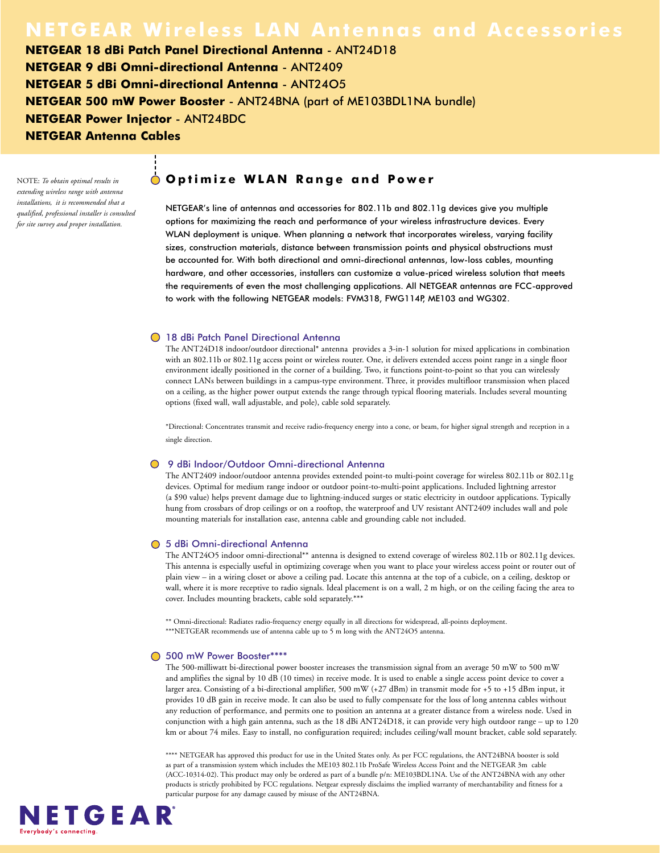## **NETGEAR Wireless LAN Antennas and Accessories**

**NETGEAR 18 dBi Patch Panel Directional Antenna** - ANT24D18 **NETGEAR 9 dBi Omni-directional Antenna** - ANT2409 **NETGEAR 5 dBi Omni-directional Antenna** - ANT24O5 **NETGEAR 500 mW Power Booster** - ANT24BNA (part of ME103BDL1NA bundle) **NETGEAR Power Injector** - ANT24BDC **NETGEAR Antenna Cables**

NOTE: *To obtain optimal results in extending wireless range with antenna installations, it is recommended that a qualified, professional installer is consulted for site survey and proper installation.*

#### **Optimize WLAN Range and Power**

NETGEAR's line of antennas and accessories for 802.11b and 802.11g devices give you multiple options for maximizing the reach and performance of your wireless infrastructure devices. Every WLAN deployment is unique. When planning a network that incorporates wireless, varying facility sizes, construction materials, distance between transmission points and physical obstructions must be accounted for. With both directional and omni-directional antennas, low-loss cables, mounting hardware, and other accessories, installers can customize a value-priced wireless solution that meets the requirements of even the most challenging applications. All NETGEAR antennas are FCC-approved to work with the following NETGEAR models: FVM318, FWG114P, ME103 and WG302.

#### **18 dBi Patch Panel Directional Antenna**

The ANT24D18 indoor/outdoor directional\* antenna provides a 3-in-1 solution for mixed applications in combination with an 802.11b or 802.11g access point or wireless router. One, it delivers extended access point range in a single floor environment ideally positioned in the corner of a building. Two, it functions point-to-point so that you can wirelessly connect LANs between buildings in a campus-type environment. Three, it provides multifloor transmission when placed on a ceiling, as the higher power output extends the range through typical flooring materials. Includes several mounting options (fixed wall, wall adjustable, and pole), cable sold separately.

\*Directional: Concentrates transmit and receive radio-frequency energy into a cone, or beam, for higher signal strength and reception in a single direction.

#### ● 9 dBi Indoor/Outdoor Omni-directional Antenna

The ANT2409 indoor/outdoor antenna provides extended point-to multi-point coverage for wireless 802.11b or 802.11g devices. Optimal for medium range indoor or outdoor point-to-multi-point applications. Included lightning arrestor (a \$90 value) helps prevent damage due to lightning-induced surges or static electricity in outdoor applications. Typically hung from crossbars of drop ceilings or on a rooftop, the waterproof and UV resistant ANT2409 includes wall and pole mounting materials for installation ease, antenna cable and grounding cable not included.

#### **○** 5 dBi Omni-directional Antenna

The ANT24O5 indoor omni-directional\*\* antenna is designed to extend coverage of wireless 802.11b or 802.11g devices. This antenna is especially useful in optimizing coverage when you want to place your wireless access point or router out of plain view – in a wiring closet or above a ceiling pad. Locate this antenna at the top of a cubicle, on a ceiling, desktop or wall, where it is more receptive to radio signals. Ideal placement is on a wall, 2 m high, or on the ceiling facing the area to cover. Includes mounting brackets, cable sold separately.\*\*\*

\*\* Omni-directional: Radiates radio-frequency energy equally in all directions for widespread, all-points deployment. \*\*\*NETGEAR recommends use of antenna cable up to 5 m long with the ANT24O5 antenna.

#### 500 mW Power Booster\*\*\*\*

The 500-milliwatt bi-directional power booster increases the transmission signal from an average 50 mW to 500 mW and amplifies the signal by 10 dB (10 times) in receive mode. It is used to enable a single access point device to cover a larger area. Consisting of a bi-directional amplifier, 500 mW (+27 dBm) in transmit mode for +5 to +15 dBm input, it provides 10 dB gain in receive mode. It can also be used to fully compensate for the loss of long antenna cables without any reduction of performance, and permits one to position an antenna at a greater distance from a wireless node. Used in conjunction with a high gain antenna, such as the 18 dBi ANT24D18, it can provide very high outdoor range – up to 120 km or about 74 miles. Easy to install, no configuration required; includes ceiling/wall mount bracket, cable sold separately.

\*\*\*\* NETGEAR has approved this product for use in the United States only. As per FCC regulations, the ANT24BNA booster is sold as part of a transmission system which includes the ME103 802.11b ProSafe Wireless Access Point and the NETGEAR 3m cable (ACC-10314-02). This product may only be ordered as part of a bundle p/n: ME103BDL1NA. Use of the ANT24BNA with any other products is strictly prohibited by FCC regulations. Netgear expressly disclaims the implied warranty of merchantability and fitness for a particular purpose for any damage caused by misuse of the ANT24BNA.

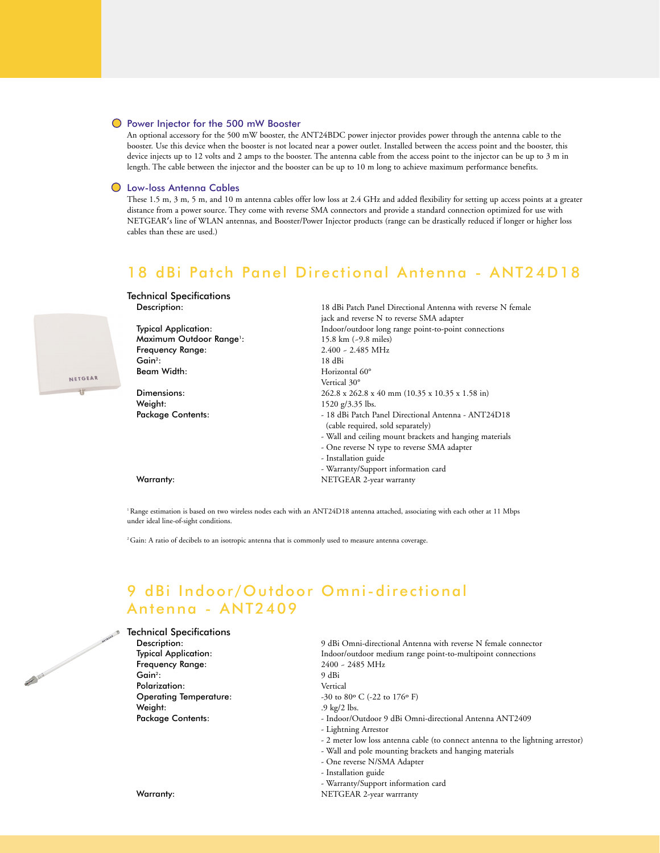#### **O** Power Injector for the 500 mW Booster

An optional accessory for the 500 mW booster, the ANT24BDC power injector provides power through the antenna cable to the booster. Use this device when the booster is not located near a power outlet. Installed between the access point and the booster, this device injects up to 12 volts and 2 amps to the booster. The antenna cable from the access point to the injector can be up to 3 m in length. The cable between the injector and the booster can be up to 10 m long to achieve maximum performance benefits.

#### **Q** Low-loss Antenna Cables

These 1.5 m, 3 m, 5 m, and 10 m antenna cables offer low loss at 2.4 GHz and added flexibility for setting up access points at a greater distance from a power source. They come with reverse SMA connectors and provide a standard connection optimized for use with NETGEAR's line of WLAN antennas, and Booster/Power Injector products (range can be drastically reduced if longer or higher loss cables than these are used.)

## 18 dBi Patch Panel Directional Antenna - ANT24D18

Technical Specifications

Maximum Outdoor Range<sup>1</sup>: Frequency Range:  $2.400 \times 2.48$ <br>Gain<sup>2</sup>: 18 dBi Gain<sup>2</sup>:<br>Beam Width: : 18 dBi

Weight: 1520 g/3.35 lbs.<br> **Package Contents:** 18 dBi Patch P

18 dBi Patch Panel Directional Antenna with reverse N female jack and reverse N to reverse SMA adapter Typical Application: Typical Application: Indoor/outdoor long range point-to-point connections 15.8 km (~9.8 miles)<br>2.400 ~ 2.485 MHz Horizontal 60° Vertical 30° **Dimensions:** 262.8 x 262.8 x 40 mm (10.35 x 10.35 x 1.58 in) - 18 dBi Patch Panel Directional Antenna - ANT24D18 (cable required, sold separately) - Wall and ceiling mount brackets and hanging materials - One reverse N type to reverse SMA adapter - Installation guide - Warranty/Support information card Warranty: Warranty: NETGEAR 2-year warranty

NETGEAR

1 Range estimation is based on two wireless nodes each with an ANT24D18 antenna attached, associating with each other at 11 Mbps under ideal line-of-sight conditions.

<sup>2</sup> Gain: A ratio of decibels to an isotropic antenna that is commonly used to measure antenna coverage.

## 9 dBi Indoor/Outdoor Omni-directional Antenna - ANT2409

Technical Specifications

 $\mathbf{A}$ 

Frequency Range:  $G$ ain<sup>2</sup>: : 9 dBi Polarization: Vertical<br>
Operating Temperature: 30 to 8 Weight:  $.9 \text{ kg}/2 \text{ lbs.}$ 

Description: 9 dBi Omni-directional Antenna with reverse N female connector Typical Application:<br>
Frequency Range: The Matter of the S400 - 2485 MHz<br>
2400 - 2485 MHz  $-30$  to 80 $\circ$  C (-22 to 176 $\circ$  F) Package Contents:  $I = Indoor/Outdoor 9 dBi Omni-directional Antenna ANT2409$ - Lightning Arrestor - 2 meter low loss antenna cable (to connect antenna to the lightning arrestor) - Wall and pole mounting brackets and hanging materials - One reverse N/SMA Adapter - Installation guide - Warranty/Support information card

Warranty: Warranty: NETGEAR 2-year warrranty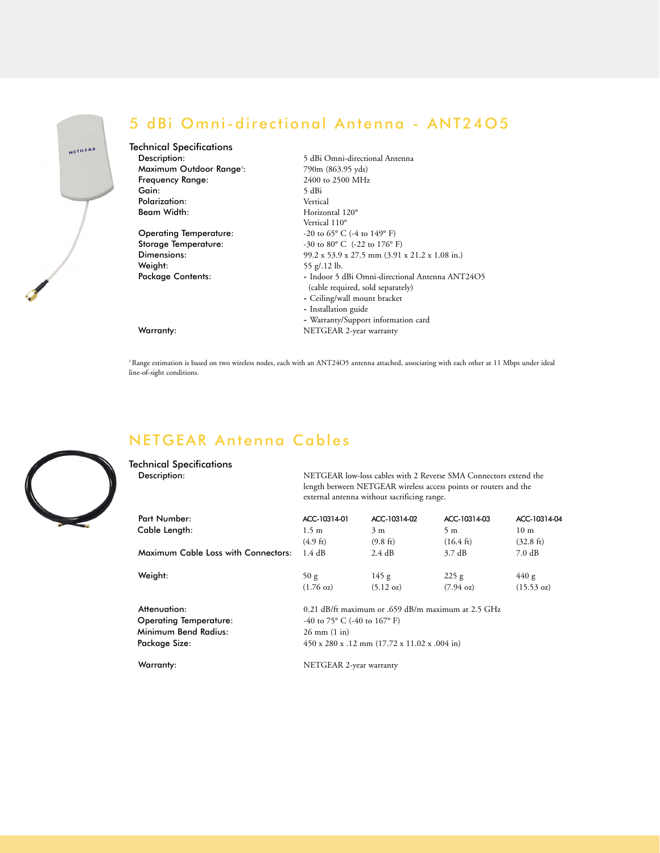## 5 dBi Omni-directional Antenna - ANT24O5

## Technical Specifications

Maximum Outdoor Range<sup>3</sup>: Frequency Range: 2400 to 2400 to 25 dBi Gain: Polarization: Vertical

Operating Temperature: Weight:  $\frac{1}{2}$  Meight:  $\frac{55 \text{ g}}{12}$  lb.<br>Package Contents:  $\frac{1}{2}$  - Indoor 5 (

5 dBi Omni-directional Antenna 790m (863.95 yds)<br>2400 to 2500 MHz Horizontal 120° Vertical  $110^{\circ}$ <br>-20 to 65° C (-4 to 149° F) **Storage Temperature:**  $-30 \text{ to } 80^{\circ} \text{ C}$  (-22 to 176° F)<br>**Dimensions:**  $99.2 \times 53.9 \times 27.5 \text{ mm}$  (3.91) Dimensions: 99.2 x 53.9 x 27.5 mm (3.91 x 21.2 x 1.08 in.)<br>Weight: 55 g/.12 lb. - Indoor 5 dBi Omni-directional Antenna ANT24O5 (cable required, sold separately) - Ceiling/wall mount bracket - Installation guide - Warranty/Support information card

Warranty: NETGEAR 2-year warranty

<sup>3</sup> Range estimation is based on two wireless nodes, each with an ANT24O5 antenna attached, associating with each other at 11 Mbps under ideal line-of-sight conditions.



## NETGEAR Antenna Cables

| <b>Technical Specifications</b>     |                                                                                                                                                                                     |                     |                     |                      |
|-------------------------------------|-------------------------------------------------------------------------------------------------------------------------------------------------------------------------------------|---------------------|---------------------|----------------------|
| Description:                        | NETGEAR low-loss cables with 2 Reverse SMA Connectors extend the<br>length between NETGEAR wireless access points or routers and the<br>external antenna without sacrificing range. |                     |                     |                      |
| Part Number:                        | ACC-10314-01                                                                                                                                                                        | ACC-10314-02        | ACC-10314-03        | ACC-10314-04         |
| Cable Length:                       | $1.5 \text{ m}$                                                                                                                                                                     | 3m                  | 5m                  | 10 <sub>m</sub>      |
|                                     | $(4.9 \text{ ft})$                                                                                                                                                                  | $(9.8 \text{ ft})$  | $(16.4 \text{ ft})$ | $(32.8)$ ft)         |
| Maximum Cable Loss with Connectors: | 1.4 dB                                                                                                                                                                              | $2.4 \text{ dB}$    | $3.7 \text{ dB}$    | $7.0 \text{ dB}$     |
| Weight:                             | 50 g                                                                                                                                                                                | 145 g               | 225 g               | 440 g                |
|                                     | $(1.76 \text{ oz})$                                                                                                                                                                 | $(5.12 \text{ oz})$ | $(7.94 \text{ oz})$ | $(15.53 \text{ oz})$ |
| Attenuation:                        | 0.21 dB/ft maximum or .659 dB/m maximum at $2.5$ GHz                                                                                                                                |                     |                     |                      |
| <b>Operating Temperature:</b>       | -40 to 75 $^{\circ}$ C (-40 to 167 $^{\circ}$ F)                                                                                                                                    |                     |                     |                      |
| Minimum Bend Radius:                | $26 \text{ mm} (1 \text{ in})$                                                                                                                                                      |                     |                     |                      |
| Package Size:                       | 450 x 280 x .12 mm (17.72 x 11.02 x .004 in)                                                                                                                                        |                     |                     |                      |
| Warranty:                           | NETGEAR 2-year warranty                                                                                                                                                             |                     |                     |                      |

NETGEAR